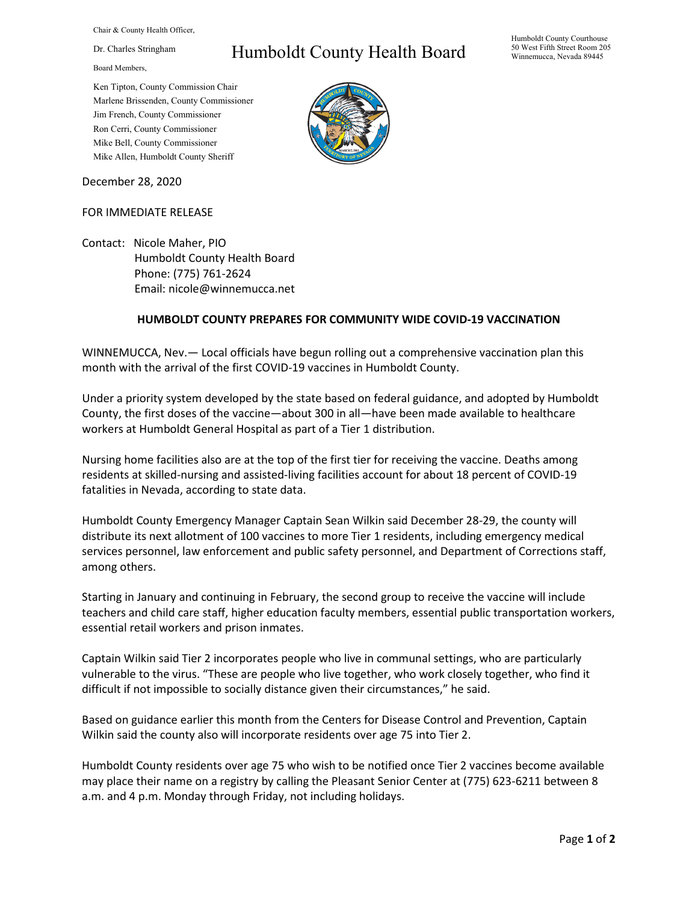Chair & County Health Officer,

Dr. Charles Stringham

Board Members,

## Humboldt County Health Board

Humboldt County Courthouse 50 West Fifth Street Room 205 Winnemucca, Nevada 89445

Ken Tipton, County Commission Chair Marlene Brissenden, County Commissioner Jim French, County Commissioner Ron Cerri, County Commissioner Mike Bell, County Commissioner Mike Allen, Humboldt County Sheriff

December 28, 2020

## FOR IMMEDIATE RELEASE



## **HUMBOLDT COUNTY PREPARES FOR COMMUNITY WIDE COVID-19 VACCINATION**

WINNEMUCCA, Nev.— Local officials have begun rolling out a comprehensive vaccination plan this month with the arrival of the first COVID-19 vaccines in Humboldt County.

Under a priority system developed by the state based on federal guidance, and adopted by Humboldt County, the first doses of the vaccine—about 300 in all—have been made available to healthcare workers at Humboldt General Hospital as part of a Tier 1 distribution.

Nursing home facilities also are at the top of the first tier for receiving the vaccine. Deaths among residents at skilled-nursing and assisted-living facilities account for about 18 percent of COVID-19 fatalities in Nevada, according to state data.

Humboldt County Emergency Manager Captain Sean Wilkin said December 28-29, the county will distribute its next allotment of 100 vaccines to more Tier 1 residents, including emergency medical services personnel, law enforcement and public safety personnel, and Department of Corrections staff, among others.

Starting in January and continuing in February, the second group to receive the vaccine will include teachers and child care staff, higher education faculty members, essential public transportation workers, essential retail workers and prison inmates.

Captain Wilkin said Tier 2 incorporates people who live in communal settings, who are particularly vulnerable to the virus. "These are people who live together, who work closely together, who find it difficult if not impossible to socially distance given their circumstances," he said.

Based on guidance earlier this month from the Centers for Disease Control and Prevention, Captain Wilkin said the county also will incorporate residents over age 75 into Tier 2.

Humboldt County residents over age 75 who wish to be notified once Tier 2 vaccines become available may place their name on a registry by calling the Pleasant Senior Center at (775) 623-6211 between 8 a.m. and 4 p.m. Monday through Friday, not including holidays.